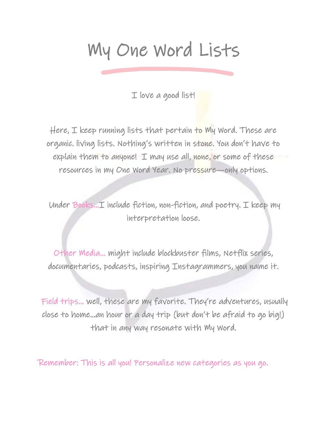## My One Word Lists

I love a good list!

Here, I keep running lists that pertain to My Word. These are organic. living lists. Nothing's written in stone. You don't have to explain them to anyone! I may use all, none, or some of these resources in my One Word Year. No pressure—only options.

 Under Books…I include fiction, non-fiction, and poetry. I keep my interpretation loose.

Other Media… might include blockbuster films, Netflix series, documentaries, podcasts, inspiring Instagrammers, you name it.

 Field trips… well, these are my favorite. They're adventures, usually close to home…an hour or a day trip (but don't be afraid to go big!) that in any way resonate with My Word.

Remember: This is all you! Personalize new categories as you go.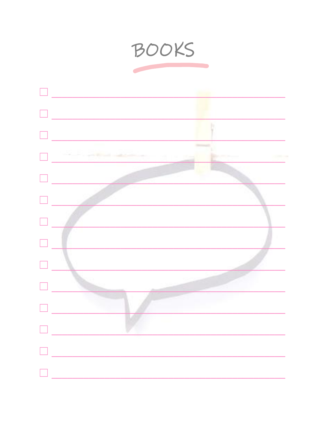

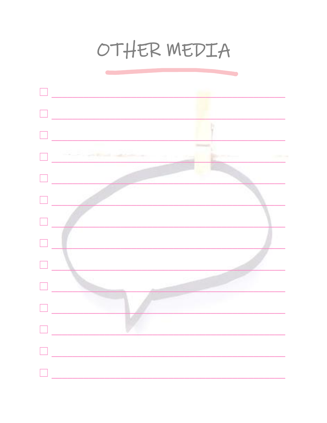## OTHER MEDIA